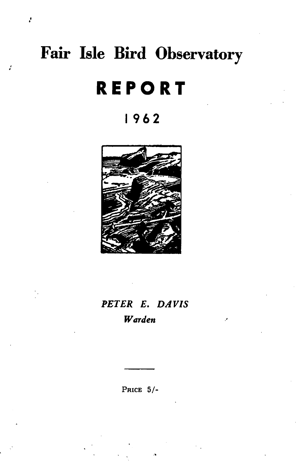# Fair Isle Bird Observatory

ķ,

# **REPORT**

# 1962



# PETER E. DAVIS Warden

PRICE  $5/-$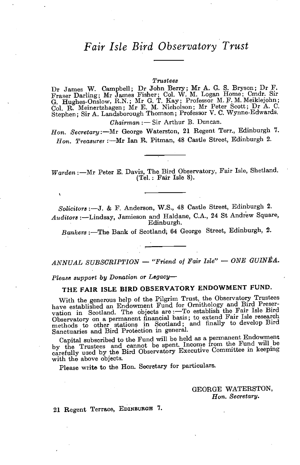## *Fair Isle Bird Observatory Trust*

#### *Trustees*

Dr James W. CampbeU; Dr John Berry; Mr A. G. S. Bryson; Dr F. Fraser Darling; Mr James Fisher; Col. W. M. Logan Home; Cmdr. Sir G. Hughes-Onslow, R.N.; Mr G. T. Kay; Professor M. F. M. Meiklejohn; Col. R. Meinertzhagen; Mr E. M. Nicholson; Mr Peter Scott; Dr A. C. Stephen; Sir A. Landsborough Thomson; Professor V. C. Wynne-Edwards.

*Chairman* :- Sir Arthur B. Duncan.

*Hon. Secretary:-Mr* George Waterston, 21 Regent Terr., Edinburgh 7. *Hon. Treasurer* :-Mr Ian R. Pitman, 48 Castle Street, Edinburgh 2.

*Warden* :- Mr Peter E. Davis, The Bird Observatory, Fair Isle, Shetland. (Tel.; Fair Isle 8).

*Solicitors* :-J. & F. Anderson, W.S., 48 Castle Street, Edinburgh 2. *Auditors* :-Lindsay, Jamieson and Haldane, C.A., 24 St Andrew Square, Edinburgh.

Bankers :- The Bank of Scotland; 64 George Street, Edinburgh, 2.

*ANNUAL SUBSCRIPTION* - *"Friend 0/ Fair Isle"* - *ONE GUINEA.* 

Please support by Donation or Legacy-

## THE FAIR ISLE BIRD OBSERVATORY ENDOWMENT FUND.

With the generous help of the Pilgrim Trust, the Observatory Trustees have established an Endowment Fund for Ornithology and Bird Preservation in Scotland. The objects are :- To establish the Fair Isle Bird Observatory on a permanent financial basis; to extend Fair Isle research methods to other stations in Scotland; and finally to develop Bird Sanctuaries and Bird Protection in general.

Capital subscribed to the Fund will be held as a permanent Endowment by the Trustees and cannot be spent. Income from the Fund will be  $\alpha$ carefully used by the Bird Observatory Executive CommIttee m keepmg with the above objects.

Please write to the Hon. Secretary for particulars.

GEORGE WATERSTON, *Hon. Secretary.* 

21 Regent Terrace, EDINBURGH 7.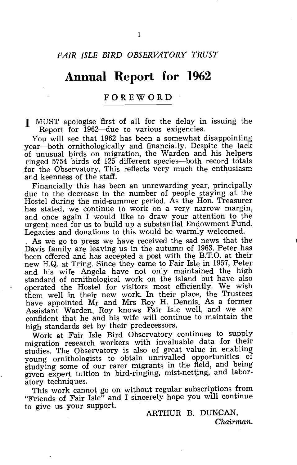## **Annual Report for 1962**

#### **FOREWORD**

I MUST apologise first of all for the delay in issuing the Report for 1962-due to various exigencies.

You will see that 1962 has been a somewhat disappointing year-both ornithologically and financially. Despite the lack of unusual birds on migration, the Warden and his helpers ringed 5754 birds of 125 different species-both record totals for the Observatory. This reflects very much the enthusiasm and keenness of the staff.

Financially this has been an unrewarding year, principally due to the decrease in the number of people staying at the Hostel during the mid-summer period. As the Hon. Treasurer has stated, we continue to work on a very narrow margin, and once again I would like to draw your attention to the urgent need for us to build up a substantial Endowment Fund. Legacies and donations to this would be warmly welcomed.

As we go to press we have received the sad news that the Davis family are leaving us in the autumn of 1963. Peter has been offered and has accepted a post with the B.T.O. at their new H.Q. at Tring. Since they came to Fair Isle in 1957, Peter and his wife Angela have not only maintained the high standard of ornithological work on the island but have also operated the Hostel for visitors most efficiently. We wish them well in their new work. In their place, the Trustees have appointed Mr and Mrs Roy H. Dennis. As a former Assistant Warden, Roy knows Fair Isle well, and we are confident that he and his wife will continue to maintain the high standards set by their predecessors.

Work at Fair Isle Bird Observatory continues to supply migration research workers with invaluable data for their studies. The Observatory is also of great value in enabling young ornithologists to obtain unrivalled opportunities of studying some of our rarer migrants in the field, and being given expert tuition in bird-ringing, mist-netting, and laboratory techniques.

This work cannot go on without regular subscriptions from "Friends of Fair Isle" and I sincerely hope you will continue to give us your support.

ARTHUR B. DUNCAN, Chairman.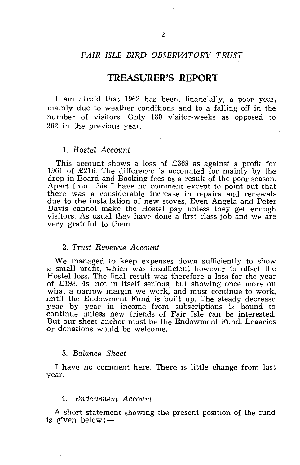#### *FAIR ISLE BIRD OBSERVATORY TRUST*

#### **TREASURER'S REPORT**

I am afraid that 1962 has been, financially, a poor year, mainly due to weather conditions and to a falling off in the number of visitors. Only 180 visitor-weeks as opposed to 262 in the previous year.

#### 1. *Hostel Account*

This account shows a loss of £369 as against a profit for 1961 of £216. The difference is accounted for mainly by the drop in Board and Booking fees asa result of the poor season. Apart from this I have no comment except to point out that there was a considerable increase in repairs and renewals due to the installation of new stoves. Even Angela and Peter Davis cannot make the Hostel pay unless they get enough visitors. As usual they have done a first class job and we are very grateful to them

#### *2. Trust Revenue Account*

We managed to keep expenses down sufficiently to show a small profit, which was insufficient however to offset the Hostel loss. The final result was therefore a loss for the year of £198, 4s. not in itself serious, but showing once more on what a narrow margin we work, and must continue to work, until the Endowment Fund is built up. The steady decrease year by year in income from subscriptions is bound to continue unless new friends of Fair Isle can be interested. But our sheet anchor must be the Endowment Fund. Legacies or donations would be welcome.

#### *3. Balance Sheet*

I have no comment here. There is little change from last year.

#### *4. Endowment Account*

A short statement showing the present position of the fund is given below: $-$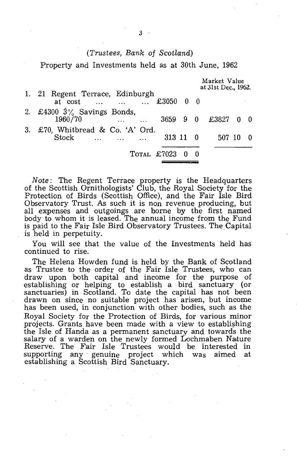#### *(Trustees, Bank* of *Scotland)*

Property and Investments held as at 30th June, 1962

|                                                                                   | Market Value<br>at 31st Dec., 1962. |  |
|-----------------------------------------------------------------------------------|-------------------------------------|--|
| 1. 21 Regent Terrace, Edinburgh<br>at cost    £3050 0 0                           |                                     |  |
| 2. £4300 $3\%$ Savings Bonds,<br>1960/70<br>and the company of the company of the | 3659 9 0 £3827 0 0                  |  |
| 3. £70, Whitbread & Co. 'A' Ord.<br>313 11 0<br><b>Stock</b>                      | 507 10                              |  |
| TOTAL £7023 0 0                                                                   |                                     |  |

*Note:* The Regent Terrace property is the Headquarters of the Scottish Ornithologists' Club, the Royal Society for the Protection of Birds (Scottish Office), and the Fair Isle Bird Observatory Trust. As such it is non revenue producing, but all expenses and outgoings are borne by the first named body to whom it is leased. The annual income from the Fund is paid to the Fair Isle Bird Observatory Trustees. The Capital is held in perpetuity.

You will see that the value of the Investments held has continued to rise.

The Helena Howden fund is held by the Bank of Scotland as Trustee to the order of the Fair Isle Trustees, who can draw upon both capital and income for the purpose of establishing or helping to establish a bird sanctuary (or sanctuaries) in Scotland. To date the capital has not been drawn on since no suitable project has arisen, but income has been used, in conjunction with other bodies, such as the Royal Society for the Protection of Birds, for various minor projects. Grants have been made with a view to establishing the Isle of Handa as a permanent sanctuary and towards the salary of a warden on the newly formed Lochmaben Nature Reserve. The Fair Isle Trustees would be interested in supporting any genuine project which was aimed at supporting any genuine project which was aimed at establishing a Scottish Bird Sanctuary.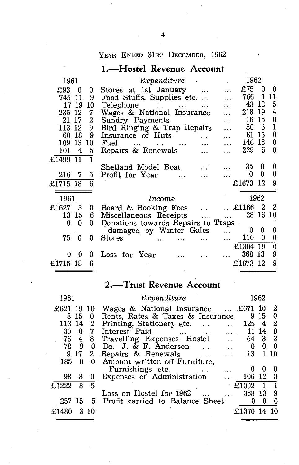## YEAR ENDED 31ST DECEMBER, 1962

## **I.-Hostel Revenue Account**

| 1961     |     |    | Expenditure                                                                                                              |                   |           | 1962       |          |     |
|----------|-----|----|--------------------------------------------------------------------------------------------------------------------------|-------------------|-----------|------------|----------|-----|
| £93      | 0   | 0  | Stores at 1st January                                                                                                    | $\cdots$          |           | £75        | 0        | 0   |
| 745      | 11  | 9  | Food Stuffs, Supplies etc                                                                                                |                   | $\ddotsc$ | 766        | 1        | 11  |
| 17       | 19  | 10 | Telephone<br>$\mathbf{r} = \mathbf{r} \cdot \mathbf{r}$                                                                  | $\ddotsc$         | .         | 43         | 12       | 5   |
| 235      | 12  | 7  | Wages & National Insurance                                                                                               |                   |           | 218        | 19       | 4   |
| 21       | 17  | 2  | Sundry Payments                                                                                                          |                   | $\cdots$  | 16         | 15       | 0   |
| 113      | -12 | 9  | Bird Ringing & Trap Repairs                                                                                              |                   | .         | 80         | -5       | 1   |
| 60       | 18  | 9  | Insurance of Huts                                                                                                        | $\ddotsc$         | .         | 61         | 15       | 0   |
| 109      | 13  | 10 | Fuel<br>and the company of the company of the company of the company of the company of the company of the company of the | $\ddotsc$         | $\ddotsc$ | 146        | 18       | 0   |
| 101      | 4   | 5  | Repairs & Renewals                                                                                                       |                   |           | 229        | 6        | 0   |
| £1499 11 |     |    |                                                                                                                          |                   |           |            |          |     |
|          |     |    | Shetland Model Boat                                                                                                      |                   |           | 35         | 0        | 0   |
| 216      | - 7 | 5  | Profit for Year<br>$\ddotsc$                                                                                             | $\cdots$          | $\ddotsc$ | 0          | 0        | 0   |
| £1715 18 |     | 6  |                                                                                                                          |                   |           | £1673 12   |          | 9   |
|          |     |    |                                                                                                                          |                   |           |            |          |     |
| 1961     |     |    | Income                                                                                                                   |                   |           |            | 1962     |     |
| £1627    | 3   | 0  | Board & Booking Fees                                                                                                     | $\ddotsc$         |           | $$ £1166 2 |          | - 2 |
| 13       | 15  | 6  | Miscellaneous Receipts                                                                                                   | $\sim$ 4.4 $\sim$ | $\ddotsc$ |            | 28 16 10 |     |
| 0        | n   | 0  | Donations towards Repairs to Traps                                                                                       |                   |           |            |          |     |
|          |     |    | damaged by Winter Gales                                                                                                  |                   | $\ddotsc$ | 0          | 0        | 0   |
| 75       | 0   | 0  | <b>Stores</b>                                                                                                            |                   | $\ddotsc$ | 110        | 0        | 0   |
|          |     |    |                                                                                                                          |                   |           | £1304      | 19       | 0   |
| 0        | 0   | 0  | Loss for Year                                                                                                            |                   |           | 368        | 13       | 9   |
| £1715    | 18  | 6  |                                                                                                                          |                   |           | £1673      | 12       | 9   |

## **2.-Trust Revenue Account**

| 1961       |              |                | Expenditure                                 |          | 1962           |     |
|------------|--------------|----------------|---------------------------------------------|----------|----------------|-----|
| £621 19 10 |              |                | Wages & National Insurance $\ldots$ £671 10 |          |                | 2   |
|            | 815          | 0              | Rents, Rates & Taxes & Insurance            |          | 9 15           | 0   |
| 113 14     |              | $\overline{2}$ | Printing, Stationery etc.<br>$\cdots$       | 125      | $\overline{4}$ | 2   |
| 30         | $\mathbf{0}$ | 7              | Interest Paid<br>$\ddotsc$<br>$\ddotsc$     |          | 11 14          | - 0 |
|            |              | 76 4 8         | Travelling Expenses-Hostel<br>$\dddotsc$    |          | 64 3 3         |     |
| 78         | 9            | 0              | $Do.-J. & F. Anderson$<br>$\ddotsc$         | 0        | 0              | - 0 |
| 9          | 17           | 2              | Repairs & Renewals<br>$\ddotsc$<br>$\cdots$ | 13 -     |                | -10 |
| 185        | 0            | $\mathbf{0}$   | Amount written off Furniture,               |          |                |     |
|            |              |                | Furnishings etc.<br>$\cdots$                | U        | ₩              |     |
| 98         | 8            | 0              | <b>Expenses of Administration</b>           | 106 12 8 |                |     |
| £1222      | 8            | 5              |                                             | £1002    | $\mathbf{1}$   |     |
|            |              |                | Loss on Hostel for 1962                     | 368 13   |                | 9   |
| 257 15     |              | 5.             | Profit carried to Balance Sheet             | O        | O              | 0   |
| £1480      |              | 310            |                                             | £1370    |                |     |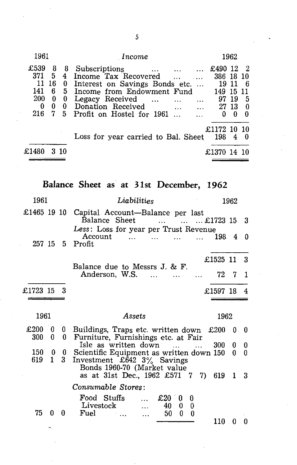| 1961                                                                                                                                  | Income                                                                                                                                                                                                                                                            |                                         | 1962                                 |                             |
|---------------------------------------------------------------------------------------------------------------------------------------|-------------------------------------------------------------------------------------------------------------------------------------------------------------------------------------------------------------------------------------------------------------------|-----------------------------------------|--------------------------------------|-----------------------------|
| £539<br>8<br>8<br>371<br>5.<br>$4^{\circ}$<br>11<br>16<br>0<br>141<br>5<br>6.<br>200<br>0<br>0<br>$\mathbf{0}$<br>0<br>0<br>216<br>5. | Subscriptions<br>$\mathbf{1}$ , $\mathbf{1}$ , $\mathbf{1}$<br>Income Tax Recovered<br>Interest on Savings Bonds etc<br>Income from Endowment Fund<br>Legacy Received<br>$\cdots$<br>Donation Received<br>$\sim$ $\sim$<br>Profit on Hostel for 1961<br>$\ddotsc$ | £490<br>386 18<br>19<br>149<br>97<br>27 | - 12<br>-11<br>15<br>-19<br>-13<br>n | -10<br>11<br>-5<br>- 0<br>∩ |
| £148                                                                                                                                  | Loss for year carried to Bal. Sheet                                                                                                                                                                                                                               | £1172<br>198                            | - 10                                 | -10<br>- 0                  |

# **Balance Sheet** as **at 31st December, 1962**

| 1961        |              |        | Liabilities                                                                                                |                              | 1962 |        |
|-------------|--------------|--------|------------------------------------------------------------------------------------------------------------|------------------------------|------|--------|
| £1465 19 10 |              |        | Capital Account-Balance per last<br>Balance Sheet<br>$\cdots$                                              | $\ldots$ $\ldots$ £1723 15 3 |      |        |
| 257 15      |              |        | Less: Loss for year per Trust Revenue<br>Account<br>$\mathbf{1}$<br>$\cdots$<br>$\overline{a}$<br>5 Profit | 198.                         | 4    | 0      |
|             |              |        |                                                                                                            | £1525 11 3                   |      |        |
|             |              |        | Balance due to Messrs J. & F.<br>Anderson, W.S.                                                            | 72.                          | - 7  | -1     |
| £1723 15    |              |        |                                                                                                            | £1597 18                     |      | 4      |
|             |              |        |                                                                                                            |                              |      |        |
| 1961        |              |        | Assets                                                                                                     | 1962                         |      |        |
| £200<br>300 | 0<br>0       | 0<br>0 | Buildings, Traps etc. written down $£200$<br>Furniture, Furnishings etc. at Fair                           |                              | 0    | - 0    |
| 150         | 0            | $0 -$  | Isle as written down<br>Scientific Equipment as written down 150                                           | 300                          | 0    | 0<br>0 |
| 619         | $\mathbf{1}$ | 3.     | Investment £642 $3\%$ Savings<br>Bonds 1960-70 (Market value<br>as at 31st Dec., 1962 £571 7 7)            | 619                          | 1    | 3      |
|             |              |        | Consumable Stores:                                                                                         |                              |      |        |
|             |              |        |                                                                                                            |                              |      |        |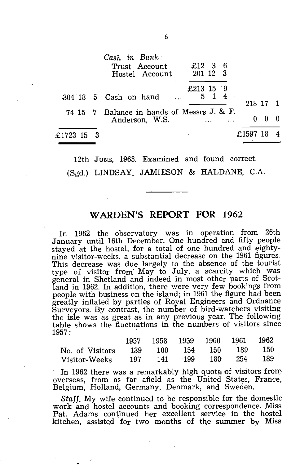|              | Cash in Bank:<br>Trust Account<br>Hostel Account             | $£12$ 3 6<br>201 12 3 |    |     |          |  |
|--------------|--------------------------------------------------------------|-----------------------|----|-----|----------|--|
|              | 304 18 5 Cash on hand                                        | £213 15 9             | 51 | - 4 | 218 17 1 |  |
|              | 74 15 7 Balance in hands of Messrs J. & F.<br>Anderson, W.S. |                       |    |     | 0        |  |
| £1723 15   3 |                                                              |                       |    |     | £1597 18 |  |

12th JUNE, 1963. Examined and found correct.

(Sgd.) LINDSAY, JAMIESON & HALDANE, C.A.

## **WARDEN'S REPORT FOR 1962**

In 1962 the observatory was in operation from 26th January until 16th December. One hundred and fifty people stayed at the hostel, for a total of one hundred and eightynine visitor-weeks, a substantial decrease on the 1961 figures. This decrease was due largely to the absence of the tourist type of visitor from May to July, a scarcity which was general in Shetland and indeed in most other parts of Scotland in 1962. In addition, there were very few bookings from people with business on the island; in 1961 the figure had been greatly inflated by parties of Royal Engineers and Ordnance Surveyors. By contrast, the number of bird-watchers visiting the isle was as great as in any previous year. The following table shows the fluctuations in the numbers of visitors since 1957:

|                     | 1957 1958 1959 1960 1961 1962 |         |      |                     |  |
|---------------------|-------------------------------|---------|------|---------------------|--|
| No. of Visitors 139 |                               |         |      | 100 154 150 189 150 |  |
| Visitor-Weeks 197   |                               | 141 199 | 180- | 254 189             |  |

In 1962 there was a remarkably high quota of visitors from overseas, from as far afield as the United States, France, Belgium, Holland, Germany, Denmark, and Sweden.

*Staff.* My wife continued to be responsible for the domestic work and hostel accounts and booking correspondence. Miss Pat. Adams continued her excellent service in the hostel kitchen, assisted for two months of the summer by Miss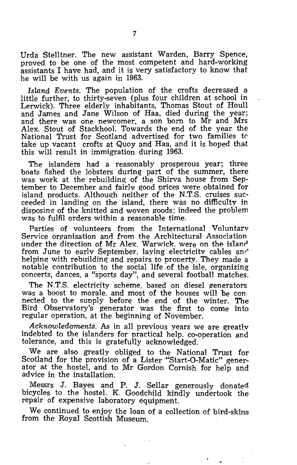Urda Stelltner. The new assistant Warden, Barry Spence, proved to be one of the most competent and hard-working assistants I have had, and it is very satisfactory to know that he will be with us again in 1963.

*Island Events.* The population of the crofts decreased a little further, to thirty-seven (plus four children at school in Lerwick). Three elderly inhabitants, Thomas Stout of Houll and James and Jane Wilson of Haa, died during the year; and there was one newcomer, a son 'born to Mr and Mrs Alex. Stout of Stackhool. Towards the end of the year: the National Trust for Scotland advertised for two families k take up vacant crofts at Quoy and Haa, and it is hoped that this will result in immigration during 1963.

The islanders had a reasonably prosperous year; three 'boats fished the lobsters during part of the summer, there was work at the rebuilding of the Shirva house from September to December and fairly good prices were obtained for island products. Although neither of the N.T.S. cruises succeeded in landing on the island, there was no difficulty in disposing of the knitted and woven goods; indeed the problem was to fulfil orders within a reasonable time.

Parties of volunteers from the International Voluntary Service organisation and from the Architectural Association under the direction of Mr Alex. Warwick. were on the island from June to early September. laying electricity cables anr' helping with rebuilding and repairs to property. They made a notable contribution to the social life .of the isle, organizing concerts, dances, a "sports day", and several football matches.

The N.T.S. electricity scheme, based on diesel generators was a boost to morale. and most of the houses will be con· nected to the supply before the end of the winter. The Bird Observatory's generator was the first to come into regular operation, at the beginning of November.

*AcknOtVledqments.* As in all previous years we are greatly indebted to the islanders for practical help. co-operation and tolerance, and this is gratefully acknowledged.

We are also greatly obliged to the National Trust for Scotland for the provision of a Lister "Start-O-Matic" generator at the hostel, and to Mr Gordon Cornish for help and advice in the installation. .

Messrs J. Bayes and P. J. Sellar generously donated bicycles to the hostel. K. Goodchild kindly undertook the repair of expensive laboratory equipment.

We continued to enjoy the loan of a collection of bird-skins from the Royal Scottish Museum.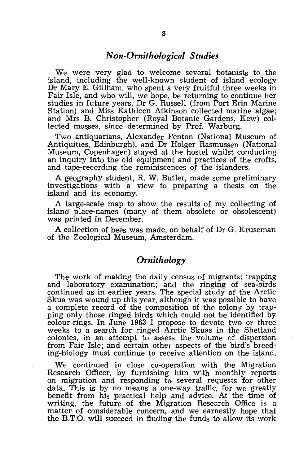### *Non-Ornithological Studies*

We were very glad to welcome several botanists to the island, including the well-known student of island ecology Dr Mary E. Gillham, who spent a very fruitful three weeks in Fair Isle, and who will, we hope, be returning to continue her studies in future years. Dr G. Russell (from Port Erin Marine Station) and Miss Kathleen Atkinson collected marine algae; and Mrs B. Christopher (Royal Botanic Gardens, Kew) collected mosses, since determined by Prof. Warburg.

Two antiquarians, Alexander Fenton (National Museum of Antiquities, Edinburgh), and Dr Holger Rasmussen (National Museum, Copenhagen) stayed at the hostel whilst conducting an inquiry into the old equipment and practices of the crofts, and tape-recording the reminiscences of the islanders.

A geography student, R. W. Butler, made some preliminary investigations with a view to preparing a thesis on the island and its economy.

A large-scale map to show the results of my collecting of island place-names (many of them obsolete or obsolescent) was printed in December.

A collection of bees was made, on behalf of Dr G. Kruseman of the Zoological Museum, Amsterdam.

## *Ornithology*

The work of making the daily census of migrants; trapping and laboratory examination; and the ringing of sea-birds continued as in earlier years. The special study of the Arctic Skua was wound up this year, although it was possible to have a complete record of the composition of the colony by trapping only those ringed birds which could not be identified by colour-rings. In June 1963 I propose to devote two or three weeks to a search for ringed Arctic Skuas in the Shetland colonies, in an attempt to assess the volume of dispersion from Fair Isle; and certain other aspects of the bird's breeding-biology must continue to receive attention on the island.

We continued in close co-operation with the Migration Research Officer, by furnishing him with monthly reports on migration and responding to several requests for other data. This is by no means a one-way traffic, for we greatly benefit from his practical help and advice. At the time of writing, the future of the Migration Research Office is a matter of considerable concern, and we earnestly hope that the B.T.O. will succeed in finding the funds to allow its work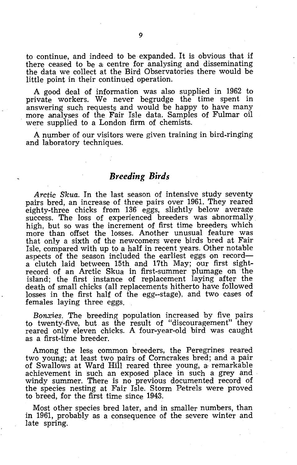to continue, and indeed to be expanded. It is obvious that if there ceased to be a: centre for analysing and disseminating the data we collect at the Bird Observatories there would be little point in their continued operation.

A good deal of information was also supplied in 1962 to private workers. We never begrudge the time spent in answering such requests and would be happy to have many more analyses of the Fair Isle data. Samples of Fulmar oil were supplied to a London firm of chemists.

A number of our visitors were given training in bird-ringing and laboratory techniques.

#### *Breeding Birds*

*Arctic Skua.* In the last season of intensive study seventy pairs bred, an increase of three pairs over 1961. They reared eighty-three chicks from 136 eggs, slightly below average success. The loss of experienced breeders was abnormally high, but so was the increment of first time breeders which more than offset the losses. Another unusual feature was that only a sixth of the newcomers were birds bred at Fair Isle, compared with up to a half in recent years. Other notable aspects of the season included the earliest eggs on record a clutch laid between 15th and 17th May; our first sightrecord of an Arctic Skua in first-summer plumage on the island; the first instance of replacement laying after the death of small chicks (all replacements hitherto have followed losses in the first half of the egg--stage), and two cases of females laying three eggs.

*Bonxies.* The breeding population increased by five pairs to twenty-five, but as the result of "discouragement" they reared only eleven chicks. A four-year-old bird was caught as a first-time breeder.

Among the less common breeders, the Peregrines reared two young; at least two pairs of Corncrakes bred; and a pair of Swallows at Ward Hill reared three young, a' remarkable achievement in such an exposed place in such a grey and windy summer. There is no previous documented record of the species nesting at Fair Isle. Storm Petrels were proved to breed, for the first time since 1943.

Most other species bred later, and in smaller numbers, than in 1961, probably as a consequence of the severe winter and late spring.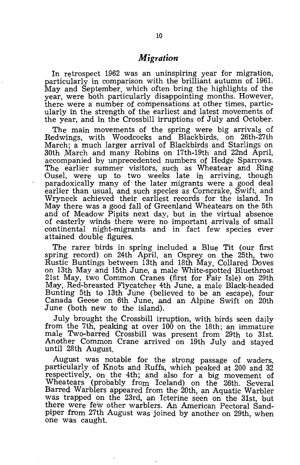## *Migration*

In retrospect 1962 was an uninspiring year for migration, particularly in comparison with the brilliant autumn of 1961. May and September. which often bring the highlights of the year, were both particularly disappointing months. However, there were a number of compensations at other times, particularly in the strength of the earliest and latest movements of the year, and in the Crossbill irruptions of July and October.

The main movements of the spring were big arrivals of Redwings, with Woodcocks and Blackbirds, on 26th-27th March; a much larger arrival of Blackbirds and Starlings on 30th March and many Robins on 17th-19th and 22nd April, accompanied by unprecedented numbers of Hedge Sparrows. The earlier summer visitors, such as Wheatear and Ring Ousel, were up to two weeks late in arriving, though paradoxically many of the later migrants were a good deal earlier than usual, and such species as Corncrake, Swift, and Wryneck achieved their earliest records for the island. In May there was a good fall of Greenland Wheatears on the 5th and of Meadow Pipits next day, but in the virtual absence of easterly winds there were no important arrivals of small oontinental night-migrants and in fact few species ever attained double figures.

The rarer birds in spring included a Blue Tit (our first spring record) on 24th April, an Osprey on the 25th, two Rustic Buntings between 13th and 18th May, Collared Doves on 13th May and 15th June, a male White-spotted Bluethroat 21st May, two Common Cranes (first for Fair Isle) on 29th May, Red-breasted Flycatcher 4th June, a male Black-headed Bunting 5th to 13th June (believed to be an escape), four Canada Geese on 6th June, and an Alpine Swift on 20th June (both new to the island).

July brought the Crossbill irruption, with birds seen daily from the 7th, peaking at over 100 on the 18th; an immature male Two-barred Crossbill was present from 29th to 31st. Another Common Crane arrived on 19th July and stayed until 28th August.

August was notable for the strong passage of waders, particularly of Knots and Ruffs, which peaked at 200 and 32 respectively, on the 4th; and also for a big movement of Wheatears (probably from Iceland) on the 26th. Several Barred Warblers appeared from the 20th, an Aquatic Warbler was trapped on the 23rd, an Icterine seen on the 31st, but there were few other warblers. An American Pectoral Sandpiper from 27th August was joined by another on 29th, when one was caught.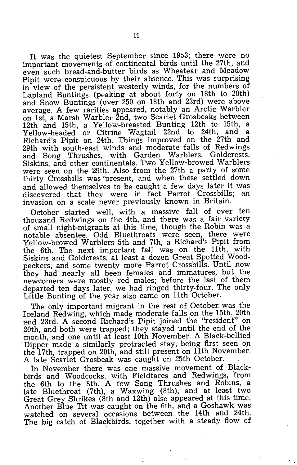It was the quietest September since 1953; there were no important movements of continental birds until the 27th, and even such bread-and-butter birds as Wheatear and Meadow Pipit were conspicuous by their absence. This was surprising in view of the persistent westerly winds, for the numbers of Lapland Buntings (peaking at about forty on 18th to 20th) and Snow Buntings (over 250 on 18th and 23rd) were above average. A few rarities appeared, notably an Arctic Warbler on 1st, a Marsh Warbler 2nd, two Scarlet Grosbeaks between 12th and 15th, a Yellow-breasted Bunting 12th to 15th, a Yellow-headed or Citrine Wagtail 22nd to 24th, and a Richard's Pipit on 24th. Things improved on the 27th and 29th with south-east winds and moderate falls of Redwings and Song Thrushes, with Garden Warblers, Goldcrests, Siskins, and other continentals. Two Yellow-browed Warblers were seen on the 29th. Also from the 27th a party of some thirty Crossbills was 'present, and when these settled down and allowed themselves to be caught a few days later it was discovered that they were in fact Parrot Crossbills; an invasion on a scale never previously known in Britain.

October started well, with a massive fall of over ten thousand Redwings on the 4th, and there was a fair variety of small night-migrants at this time, though the Robin was a notable absentee. Odd Bluethroats were seen, there were Yellow-browed Warblers 5th and 7th, a Richard's Pipit from the 6th. The next important faJ! was on the 11th, with Siskins and Goldcrests, at least a dozen Great Spotted Woodpeckers, and some twenty more Parrot Crossbills. Until now they had nearly all been females and immatures, but the newcomers were mostly red males; before the last of them departed ten days later, we had ringed thirty-four. The only Little Bunting of the year also came on 11th October.

The only important migrant in the rest of October was the Iceland Redwing, which made moderate falls on the 15th, 20th and 23rd. A second Richard's Pipit joined the "resident" on 20th, and both were trapped; they stayed until the end of the month, and one until at least 10th November, A Black-bellied Dipper made a similarly protracted stay, being first seen on the 17th, trapped on 20th, and still present on 11th November. A late Scarlet Grosbeak was caught on 25th October.

In November there was one massive movement of Blackbirds and Woodcocks, with Fieldfares and Redwings, 'from the 6th to the 8th. A few Song Thrushes and Robins, a late Bluethroat (7th), a Waxwing (8th), and at least two Great Grey Shrikes (8th and 12th) also appeared at this time. Another Blue Tit was caught On the 6th, and a Goshawk was watched on several occasions between the 14th and 24th. The big catch of Blackbirds, together with a steady flow of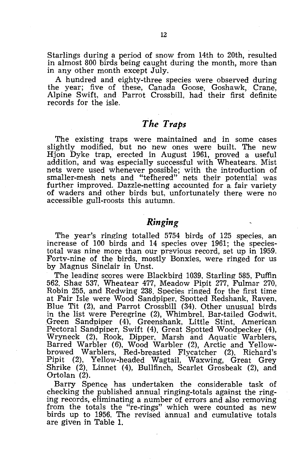Starlings during a period of snow from 14th to 20th, resulted in almost 800 birds being caught during the month, more than in any other month except July.

A hundred and eighty-three species were observed during the year; five of these, Canada Goose, Goshawk, Crane, Alpine Swift, and Parrot Crossbill, had their first definite records for the isle.

## *The Traps*

The existing traps were maintained and in some cases slightly modified, but no new ones were built. The new Hjon Dyke trap, erected in August 1961, proved a useful addition, and was especially successful with Wheatears. Mist nets were used whenever possible; with the introduction of smaller-mesh nets and "tethered" nets their potential was further improved. Dazzle-netting accounted for a fair variety of waders and other birds 'but, unfortunately there were no accessible gull-roosts this autumn.

## *Ringing*

The year's ringing totalled 5754 birds of 125 species, an increase of 100 birds and 14 species over 1961; the speciestotal was nine more than our previous record, set up in 1959. Forty-nine of the birds, mostly Bonxies, were ringed for us by Magnus Sinclair in Unst.

The leading scores were Blackbird 1039, Starling 585, Puffin 562. Shag 537, Wheatear 477, Meadow Pipit 277, Fulmar 270, Robin 255, and Redwing 238. Species ringed for the first time at Fair Isle were Wood Sandpiper, Spotted Redshank, Raven, Blue Tit (2), and Parrot Crossbill (34). Other unusual birds in the list were Peregrine (2), WhimbreL Bar-tailed Godwit, Green Sandpiper (4), Greenshank, Little Stint, American Pectoral Sandpiper, Swift (4), Great Spotted Woodpecker (4), Wryneck (2), Rook, Dipper, Marsh and Aquatic Warblers, Barred Warbler (6), Wood Warbler (2), Arctic and Yellowbrowed Warblers, Red-breasted Flycatcher (2), Richard's Pipit (2), Yellow-headed Wagtail, Waxwing, Great Grey Shrike  $(2)$ , Linnet  $(4)$ , Bullfinch, Scarlet Grosbeak  $(2)$ , and Ortolan (2).

Barry Spence has undertaken the considerable task of checking the published annual ringing-totals against the ringing records, eliminating a number of errors and also removing from the totals the "re-rings" which were counted as new birds up to 1956. The revised annual and cumulative totals are given in Table 1.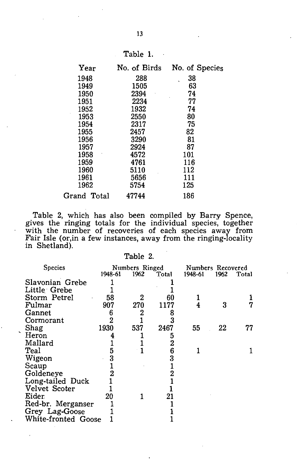| п<br>l'able |  |
|-------------|--|
|-------------|--|

| Year        | No. of Birds | No. of Species |
|-------------|--------------|----------------|
| 1948        | 288          | 38             |
| 1949        | 1505         | 63             |
| 1950        | 2394         | 74             |
| 1951        | 2234         | 77             |
| 1952        | 1932         | 74             |
| 1953        | 2550         | 80             |
| 1954        | 2317         | 75             |
| 1955        | 2457         | 82             |
| 1956        | 3290         | 81             |
| 1957        | 2924         | 87             |
| 1958        | 4572         | 101            |
| 1959        | 4761         | 116            |
| 1960        | 5110         | 112            |
| 1961        | 5656         | 111            |
| 1962        | 5754         | 125            |
| Grand Total | 47744        | 186            |

Table 2, which has also been compiled by Barry Spence, gives the ringing totals for the individual species, together with the number of recoveries of each species away from Fair Isle (or,in a few instances, away from the ringing-locality in Shetland).

| able |  |
|------|--|
|------|--|

| <b>Species</b>      | 1948-61 | Numbers Ringed<br>1962 | Total | Numbers Recovered<br>1948-61 | 1962 | Total |
|---------------------|---------|------------------------|-------|------------------------------|------|-------|
| Slavonian Grebe     |         |                        |       |                              |      |       |
| Little Grebe        |         |                        |       |                              |      |       |
| Storm Petrel        | 58      |                        | 60    |                              |      |       |
| Fulmar              | 907     | 270                    | 1177  |                              | 3    |       |
| Gannet              | h       |                        | 8     |                              |      |       |
| Cormorant           |         |                        |       |                              |      |       |
| Shag<br>∼           | 1930    | 537                    | 2467  | 55                           | 22   |       |
| Heron               |         |                        | 5     |                              |      |       |
| Mallard             |         |                        | 2     |                              |      |       |
| Teal                | 5       |                        | 6     |                              |      |       |
| Wigeon              | 3       |                        | 3     |                              |      |       |
| Scaup               |         |                        |       |                              |      |       |
| Goldeneye           |         |                        |       |                              |      |       |
| Long-tailed Duck    |         |                        |       |                              |      |       |
| Velvet Scoter       |         |                        |       |                              |      |       |
| Eider               | 20      |                        | 21    |                              |      |       |
| Red-br. Merganser   |         |                        |       |                              |      |       |
| Grey Lag-Goose      |         |                        |       |                              |      |       |
| White-fronted Goose |         |                        |       |                              |      |       |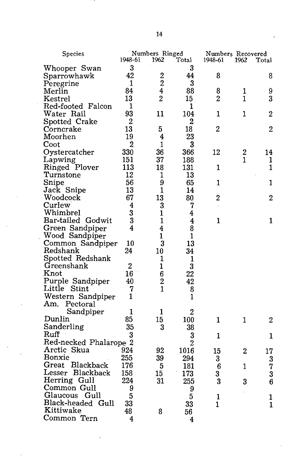| Species                |                | Numbers Ringed                   |                  | Numbers Recovered |                  |       |
|------------------------|----------------|----------------------------------|------------------|-------------------|------------------|-------|
|                        | 1948-61        | 1962                             | Total            | 1948-61           | 1962             | Total |
| Whooper Swan           | 3              |                                  | 3                |                   |                  |       |
| Sparrowhawk            | 42             | $\overline{2}$<br>$\overline{2}$ | 44               | 8                 |                  | 8     |
| Peregrine              | 1              |                                  | 3                |                   |                  |       |
| Merlin                 | 84             | 4                                | 88               | 8                 | 1                | 9     |
| $\rm Kestrel$          | 13             | $\overline{2}$                   | 15               | $2 -$             | 1                | 3     |
| Red-footed Falcon      | 1              |                                  | 1                |                   |                  |       |
| Water Rail             | 93             | 11                               | 104              | 1                 | 1                | 2     |
| Spotted Crake          | 2              |                                  | $\boldsymbol{2}$ |                   |                  |       |
| Corncrake              | 13             | 5                                | 18               | 2                 |                  | 2     |
| Moorhen                | 19             | 4                                | 23               |                   |                  |       |
| Coot                   | $\overline{2}$ | 1                                | 3                |                   |                  |       |
| Oystercatcher          | 330            | 36                               | 366              | 12                | $\boldsymbol{2}$ | 14    |
| Lapwing                | 151            | 37                               | 188              |                   | 1                | 1     |
| Ringed Plover          | 113            | 18                               | 131              | 1                 |                  | 1     |
| Turnstone              | 12             | 1                                | 13               |                   |                  |       |
| Snipe                  | 56             | 9                                | 65               | 1                 |                  | 1     |
| Jack Snipe             | 13             | 1                                | 14               |                   |                  |       |
| Woodcock               | 67             | 13                               | 80               | $\mathbf 2$       |                  | 2     |
| Curlew                 | 4              | 3                                | 7                |                   |                  |       |
| Whimbrel               | 3              | 1                                | 4                |                   |                  |       |
| Bar-tailed Godwit      | 3              | 1                                | 4                | $\mathbf{1}$      |                  | 1     |
| Green Sandpiper        | 4              | 4                                | 8                |                   |                  |       |
| Wood Sandpiper         |                | 1                                | 1                |                   |                  |       |
| Common Sandpiper       | 10             | 3                                | 13               |                   |                  |       |
| Redshank               | 24             | 10                               | 34               |                   |                  |       |
| Spotted Redshank       |                | 1                                | 1                |                   |                  |       |
| Greenshank             | $\overline{2}$ | 1                                | 3                |                   |                  |       |
| $\operatorname{Knot}$  | 16             | 6                                | 22               |                   |                  |       |
| Purple Sandpiper       | 40             | $\overline{2}$                   | 42               |                   |                  |       |
| Little Stint           | 7              | $\overline{1}$                   | 8                |                   |                  |       |
| Western Sandpiper      | 1              |                                  | $\mathbf{1}$     |                   |                  |       |
| Am. Pectoral           |                |                                  |                  |                   |                  |       |
| Sandpiper              | 1              | 1                                | 2                |                   |                  |       |
| Dunlin                 | 85             | 15                               | 100              | 1                 | 1                | 2     |
| Sanderling             | 35             | 3                                | 38               |                   |                  |       |
| Ruff                   | 3              |                                  | 3                | 1                 |                  | 1     |
| Red-necked Phalarope 2 |                |                                  | $\overline{2}$   |                   |                  |       |
| Arctic Skua            | 924            | 92                               | 1016             | 15                | 2                | 17    |
| Bonxie                 | 255            | 39                               | 294              | 3                 |                  | 3     |
| Great Blackback        | 176            | 5                                | 181              | 6                 | 1                | 7     |
| Lesser Blackback       | 158            | 15                               | 173              | 3                 |                  | 3     |
| Herring Gull           | 224            | 31                               | 255              | 3                 | 3                | 6     |
| Common Gull            | 9              |                                  | 9                |                   |                  |       |
| Glaucous Gull          | 5              |                                  | 5                | 1                 |                  | 1     |
| Black-headed Gull      | 33             |                                  | 33               | 1                 |                  | 1     |
| Kittiwake              | 48             | 8                                | 56               |                   |                  |       |
| Common Tern            | 4              |                                  | 4                |                   |                  |       |
|                        |                |                                  |                  |                   |                  |       |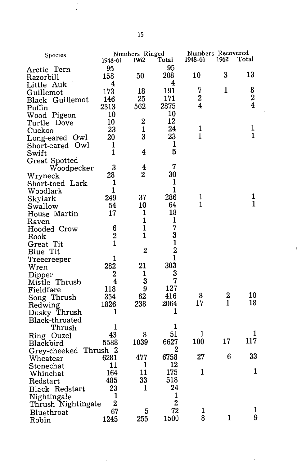| Species               |                | Numbers Ringed |                |                | Numbers Recovered |                         |  |
|-----------------------|----------------|----------------|----------------|----------------|-------------------|-------------------------|--|
|                       | 1948-61        | 1962           | Total          | 1948-61        | 1962              | Total                   |  |
| Arctic Tern           | 95             |                | 95             |                |                   |                         |  |
| Razorbill             | 158            | 50             | 208            | 10             | 3                 | 13                      |  |
| Little Auk            | 4              |                | 4              |                |                   |                         |  |
| Guillemot             | 173            | 18             | 191            | 7              | 1                 | 8                       |  |
| Black Guillemot       | 146            | 25             | 171            | 2              |                   | $\overline{\mathbf{2}}$ |  |
| Puffin                | 2313           | 562            | 2875           | 4              |                   | 4                       |  |
| Wood Pigeon           | 10             |                | 10             |                |                   |                         |  |
| Turtle Dove           | 10             | 2              | 12             |                |                   |                         |  |
| Cuckoo                | 23             | $\mathbf{1}$   | 24             | 1              |                   | 1                       |  |
| Long-eared Owl        | 20             | 3              | 23             | $\overline{1}$ |                   | ĩ                       |  |
| Short-eared Owl       | 1              |                | 1              |                |                   |                         |  |
| Swift                 | 1              | 4              | 5              |                |                   |                         |  |
| Great Spotted         |                |                |                |                |                   |                         |  |
| Woodpecker            | 3              | 4              | 7              |                |                   |                         |  |
| Wryneck               | 28             | 2              | 30             |                |                   |                         |  |
| Short-toed Lark       | 1              |                | 1              |                |                   |                         |  |
| Woodlark              | 1              |                | $\mathbf{1}$   |                |                   |                         |  |
| Skylark               | 249            | 37             | 286            | 1              |                   | 1                       |  |
| Swallow               | 54             | 10             | 64             | $\mathbf{1}$   |                   | $\mathbf{1}$            |  |
| House Martin          | 17             | 1              | 18             |                |                   |                         |  |
| Raven                 |                | $\mathbf{1}$   | 1              |                |                   |                         |  |
| Hooded Crow           | 6              | $\mathbf{1}$   | 7              |                |                   |                         |  |
| Rook                  | $\overline{2}$ | 1              | 3              |                |                   |                         |  |
| Great Tit             | $\overline{1}$ |                | $\mathbf{1}$   |                |                   |                         |  |
| Blue Tit              |                | $\overline{2}$ | $\overline{2}$ |                |                   |                         |  |
| Treecreeper           | 1              |                | $\mathbf{1}$   |                |                   |                         |  |
| Wren                  | 282            | 21             | 303            |                |                   |                         |  |
| Dipper                | $\overline{2}$ | $\mathbf{1}$   | 3              |                |                   |                         |  |
| Mistle Thrush         | 4              | 3              | 7              |                |                   |                         |  |
| Fieldfare             | 118            | 9              | 127            |                |                   |                         |  |
| Song Thrush           | 354            | 62             | 416            | 8              | 2                 | 10                      |  |
| Redwing               | 1826           | 238            | 2064           | 17             | $\mathbf{1}$      | 18                      |  |
| Dusky Thrush          | 1              |                | 1              |                |                   |                         |  |
| Black-throated        |                |                |                |                |                   |                         |  |
| Thrush                | 1              |                | 1              |                |                   |                         |  |
| Ring Ouzel            | 43             | 8              | 51             | 1              |                   | 1                       |  |
| Blackbird             | 5588           | 1039           | 6627           | 100            | 17                | 117                     |  |
| Grey-cheeked Thrush 2 |                |                | 2              |                |                   |                         |  |
| Wheatear              | 6281           | 477            | 6758           | 27             | 6                 | 33                      |  |
| Stonechat             | 11             | 1              | 12             |                |                   |                         |  |
| Whinchat              | 164            | 11             | 175            | $\mathbf{1}$   |                   | $\mathbf{1}$            |  |
| Redstart              | 485            | 33             | 518            |                |                   |                         |  |
| <b>Black Redstart</b> | 23             | $\mathbf{1}$   | 24             |                |                   |                         |  |
| Nightingale           | 1              |                | 1              |                |                   |                         |  |
| Thrush Nightingale    | $\overline{2}$ |                | $\overline{2}$ |                |                   |                         |  |
| Bluethroat            | 67             | 5              | 72             | 1              |                   | 1                       |  |
| Robin                 | 1245           | 255            | 1500           | 8              | 1                 | 9                       |  |
|                       |                |                |                |                |                   |                         |  |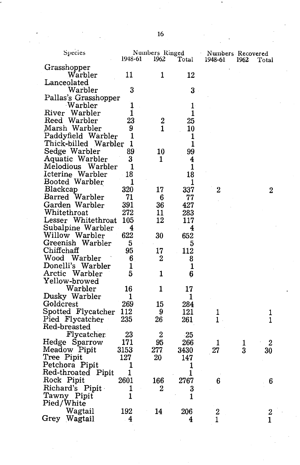| Species              | 1948-61                 | Numbers Ringed<br>1962 | Total        | Numbers Recovered<br>1948-61 | 1962 | Total            |
|----------------------|-------------------------|------------------------|--------------|------------------------------|------|------------------|
| Grasshopper          |                         |                        |              |                              |      |                  |
| Warbler              | 11                      | 1                      | 12           |                              |      |                  |
| Lanceolated          |                         |                        |              |                              |      |                  |
| Warbler              | 3                       |                        | 3            |                              |      |                  |
| Pallas's Grasshopper |                         |                        |              |                              |      |                  |
| Warbler              | 1                       |                        | 1            |                              |      |                  |
| River Warbler        | 1                       |                        | 1            |                              |      |                  |
| Reed Warbler         | 23                      | 2                      | 25           |                              |      |                  |
| Marsh Warbler        | 9                       | 1                      | 10           |                              |      |                  |
| Paddyfield Warbler   | 1                       |                        | 1            |                              |      |                  |
| Thick-billed Warbler | 1                       |                        | 1            |                              |      |                  |
| Sedge Warbler        | 89                      | 10                     | 99           |                              |      |                  |
| Aquatic Warbler      | 3                       | 1                      | 4            |                              |      |                  |
| Melodious Warbler    | 1                       |                        | $\mathbf{1}$ |                              |      |                  |
| Icterine Warbler     | 18                      |                        | 18           |                              |      |                  |
| Booted Warbler       | 1                       |                        | 1            |                              |      |                  |
| Blackcap             | 320                     | 17                     | 337          | $\boldsymbol{2}$             |      | 2                |
| Barred Warbler       | 71                      | 6                      | 77           |                              |      |                  |
| Garden Warbler       | 391                     | 36                     | 427          |                              |      |                  |
| Whitethroat          | 272                     | 11                     | 283          |                              |      |                  |
| Lesser Whitethroat   | 105                     | 12                     | 117          |                              |      |                  |
| Subalpine Warbler    | 4                       |                        | 4            |                              |      |                  |
| Willow Warbler       | 622                     | 30                     | 652          |                              |      |                  |
| Greenish Warbler     | 5                       |                        | 5            |                              |      |                  |
| Chiffchaff           | 95                      | 17                     | 112          |                              |      |                  |
| Wood Warbler         | 6                       | 2                      | 8            |                              |      |                  |
| Donelli's Warbler    | 1                       |                        | 1            |                              |      |                  |
| Arctic Warbler       | 5                       | 1                      | 6            |                              |      |                  |
| Yellow-browed        |                         |                        |              |                              |      |                  |
| Warbler              | 16                      | 1                      | 17           |                              |      |                  |
| Dusky Warbler        | 1                       |                        | 1            |                              |      |                  |
| Goldcrest            | 269                     | 15                     | 284          |                              |      |                  |
| Spotted Flycatcher   | 112                     | 9                      | 121          | 1                            |      | 1                |
| Pied Flycatcher      | 235                     | 26                     | 261          | 1                            |      | 1                |
| Red-breasted         |                         |                        |              |                              |      |                  |
| Flycatcher           | 23                      | $\mathbf{2}$           | $-25$        |                              |      |                  |
| Hedge Sparrow        | 171                     | 95                     | 266          | 1                            | ı    | 2                |
| Meadow Pipit         | 3153                    | 277                    | 3430         | 27                           | 3    | 30               |
| Tree Pipit           | 127                     | 20                     | 147          |                              |      |                  |
| Petchora Pipit       | 1                       |                        | 1            |                              |      |                  |
| Red-throated Pipit   | 1                       |                        | 1            |                              |      |                  |
| Rock Pipit           | 2601                    | 166                    | 2767         | 6                            |      | 6                |
| Richard's Pipit      | 1                       | 2                      | 3            |                              |      |                  |
| Tawny Pipit          | $\mathbf{1}$            |                        | 1            |                              |      |                  |
| Pied/White           |                         |                        |              |                              |      |                  |
| Wagtail              | 192                     | 14                     | 206          | 2                            |      | $\boldsymbol{2}$ |
| Grey Wagtail         | $\overline{\mathbf{4}}$ |                        | 4            | $\mathbf{1}$                 |      | $\mathbf 1$      |
|                      |                         |                        |              |                              |      |                  |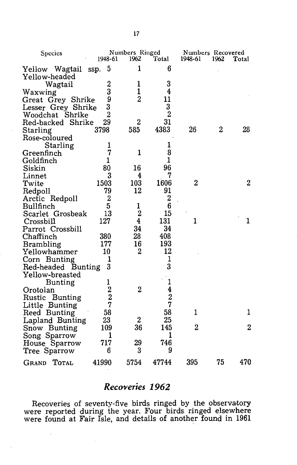| Species               |                                                 | Numbers Ringed   |                |                | Numbers Recovered |                  |  |
|-----------------------|-------------------------------------------------|------------------|----------------|----------------|-------------------|------------------|--|
|                       | 1948-61                                         | 1962             | Total          | 1948-61        | 1962              | Total            |  |
| Yellow Wagtail        | 5<br>ssp.                                       | 1                | 6              |                |                   |                  |  |
| Yellow-headed         |                                                 |                  |                |                |                   |                  |  |
| Wagtail               | $\boldsymbol{2}$                                | 1                | 3              |                |                   |                  |  |
| Waxwing               | 3                                               | $\mathbf{1}$     | 4              |                |                   |                  |  |
| Great Grey Shrike     | 9                                               | $\overline{2}$   | 11             |                |                   |                  |  |
| Lesser Grey Shrike    | 3                                               |                  | 3              |                |                   |                  |  |
| Woodchat Shrike       | $\overline{2}$                                  |                  | $\overline{2}$ |                |                   |                  |  |
| Red-backed Shrike     | 29                                              | $\overline{2}$   | 31             |                |                   |                  |  |
| Starling              | 3798                                            | 585              | 4383           | 26             | $\overline{2}$    | 28               |  |
| Rose-coloured         |                                                 |                  |                |                |                   |                  |  |
| Starling              | 1                                               |                  | 1              |                |                   |                  |  |
| Greenfinch            | 7                                               | 1                | 8              |                |                   |                  |  |
| Goldfinch             | 1                                               |                  | $\mathbf{1}$   |                |                   |                  |  |
| Siskin                | 80                                              | 16               | 96             |                |                   |                  |  |
| Linnet                | 3                                               | 4                | 7              |                |                   |                  |  |
| Twite                 | 1503                                            | 103              | 1606           | $\overline{c}$ |                   | 2                |  |
| Redpoll               | 79                                              | 12               | 91             |                |                   |                  |  |
| Arctic Redpoll        | $\mathbf{2}$                                    |                  | $\overline{2}$ |                |                   |                  |  |
| Bullfinch             | 5                                               | 1                | 6              |                |                   |                  |  |
| Scarlet Grosbeak      | 13                                              | $\overline{c}$   | 15             |                |                   |                  |  |
| Crossbill             | 127                                             | 4                | 131            | 1              |                   | 1                |  |
| Parrot Crossbill      |                                                 | 34               | 34             |                |                   |                  |  |
| Chaffinch             | 380                                             | 28               | 408            |                |                   |                  |  |
| <b>Brambling</b>      | 177                                             | 16               | 193            |                |                   |                  |  |
| Yellowhammer          | 10                                              | $\boldsymbol{2}$ | 12             |                |                   |                  |  |
| Corn Bunting          | 1                                               |                  | 1              |                |                   |                  |  |
| Red-headed Bunting    | 3                                               |                  | 3              |                |                   |                  |  |
| Yellow-breasted       |                                                 |                  |                |                |                   |                  |  |
| <b>Bunting</b>        |                                                 |                  | 1              |                |                   |                  |  |
| Orotolan              | $\begin{smallmatrix}1\2\2\2\1\end{smallmatrix}$ | $\overline{2}$   |                |                |                   |                  |  |
| Rustic Bunting        |                                                 |                  | $\frac{4}{2}$  |                |                   |                  |  |
| Little Bunting        |                                                 |                  |                |                |                   |                  |  |
| Reed Bunting          | 58                                              |                  | 58             | $\mathbf{1}$   |                   | 1                |  |
| Lapland Bunting       | 23                                              | 2                | 25             |                |                   |                  |  |
| Snow Bunting          | 109                                             | 36               | 145            | 2              |                   | $\boldsymbol{2}$ |  |
| Song Sparrow          | 1                                               |                  | 1              |                |                   |                  |  |
| House Sparrow         | 717                                             | 29               | 746            |                |                   |                  |  |
| Tree Sparrow          | 6                                               | 3                | 9              |                |                   |                  |  |
| TOTAL<br><b>GRAND</b> | 41990                                           | 5754             | 47744          | 395            | 75                | 470              |  |

## **Recoveries 1962**

Recoveries of seventy-five birds ringed by the observatory were reported during the year. Four birds. ringed elsewhere were found at Fair Isle, and details of another found in 1961

 $\ddot{\phantom{a}}$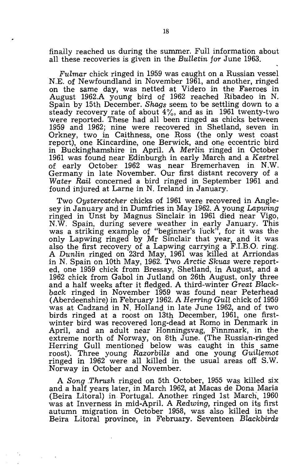finally reached us during the summer. Full information about all these recoveries is given in the *Bulletin for* June 1963.

*Fulmar* chick ringed in 1959 was caught on a Russian vessel N.E. of Newfoundland in November 1961, and another, ringed on the same day, was netted at Videro in the Faeroes in August 1962.A young bird of 1962 reached Ribadeo in N. Spain by 15th December. *Shaqs* seem to be settling down to a steady recovery rate of about  $4\%$ , and as in 1961 twenty-two were reported. These had all been ringed as chicks between 1959 and 1962; nine were recovered in Shetland, seven in Orkney, two in Caithness, one Ross (the only west coast report), one Kincardine, one Berwick, and one eccentric bird in Buckinghamshire in April. A *Merlin* ringed in October 1961 was found near Edinburgh in early March and a *Kestrel*  of early October 1962 was near Bremerhaven in N.W. Germany in late November. Our first distant recovery of a *Water Rail* concerned a bird ringed in September 1961 and found injured at Larne in N. Ireland in January.

Two *Oystercatcher* chicks of 1961 were recovered in Anglesey in January and in Dumfries in May 1962. A young *Lapwing*  ringed in Unst by Magnus Sinclair. in 1961 died near Vigo, N.W. Spain, during severe weather in early January. This was a striking example of "beginner's luck", for it was the only Lapwing ringed by Mr Sinclair that year, and it was also the first recovery of a Lapwing carrying a F.I.B.O. ring. A *Dunlin* ringed on 23rd May, 1961 was killed at Arriondas in N. Spain on 10th May, 1962. Two *Arctic Skuas* were reported, one 1959 chick from Bressay, Shetland, in August, and a 1962 chick from Gabol in Jutland on 26th August, only three and a half weeks after it fledged. A third-winter *Great Black*back ringed in November 1959 was found near Peterhead (Aberdeenshire) in February 1962. A *Herring Gull* chick of 1959 was at Cadzand in N. Holland in late June 1962, and of two birds ringed at a roost on 13th December, 1961, one firstwinter bird was recovered long-dead at Romo in Denmark in April, and an adult near Honningsvag, Finnmark, in the extreme north of Norway, on 8th June. (The Russian-ringed Herring Gull mentioned below was caught in this same roost). Three young *Razorbills* and one young *Guillemot*  ringed in 1962 were all killed in the usual areas off S.W. Norway in October and November.

A *Song .Thrush* ringed on 5th October, 1955 was killed six and a half years later, in March 1962, at Macas de Dona Maria (Beira Litoral) in Portugal. Another. ringed 1st March, 1960 was at Inverness in mid-April. A *Redwing,* ringed on its first autumn migration in October 1958, was also killed in the Beira Litoral province, in February. Seventeen *Blackbirds*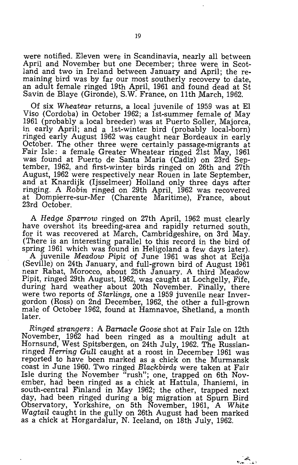were notified. Eleven were in Scandinavia, nearly all between April and November but one December; three were in Scotland and two in Ireland between January and April; the remaining bird was by far our most southerly recovery to date, an adult female ringed 19th April, 1961 and found dead at St Savin de Blaye (Gironde), S.W. France, on 11th March, 1962.

Of six *Wheatear* returns, a local juvenile of 1959 was at El Viso (Cordoba) in October 1962; a 1st-summer female of May 1961 (probably a local breeder) was at Puerto Soller, Majorca, in early April; and a 1st-winter bird (probably local-born) ringed early August 1962 was caught near Bordeaux in early October. The other three were certainly passage-migrants at Fair Isle: a female Greater Wheatear ringed 21st May, 1961 was found at Puerto de Santa Maria (Cadiz) on 23rd September, 1962, and first-winter birds ringed on 26th and 27th August, 1962 were respectively near Rouen in late September, and at Knardijk (Ijsselmeer) Holland only three days after ringing. A *Robin* ringed on 29th April, 1962 was recovered at Dompierre-sur-Mer (Charente Maritime), France, about 23rd October.

A *Hedge Sparrow* ringed on 27th April, 1962 must clearly have overshot its breeding-area and rapidly returned south, for it was recovered at March, Cambridgeshire, on 3rd May. (There is an interesting parallel to this record in the bird of spring 1961 which was found in Heligoland a few days later). A juvenile *Meadow Pipit* of June 1961 was shot at Ecija (Seville) on 24th January, and full-grown bird of August 1961 near Rabat, Morocco, about 25th January. A third Meadow Pipit, ringed 29th August, 1962, was caught at Lochgelly, Fife, during hard weather about 20th November. Finally, there were two reports of *Starlings,* one a 1959 juvenile near Invergordon (Ross) on 2nd December, 1962, the other a full-grown male of October 1962, found at Hamnavoe, Shetland, a month later.

*Ringed strangers:* A *Barnacle Goose* shot at Fair Isle on 12th November, 1962 had been ringed as a moulting adult at Hornsund, West Spitsbergen, on 24th July, 1962. The Russianringed *Herring Gull* caught at a roost in December 1961 was reported to have been marked as a chick on the Murmansk coast in June 1960. Two ringed *Blackbirds* were taken at Fair Isle during the November "rush"; one, trapped on 6th November, had been ringed as a chick at Hattula, Ihaniemi, in south-central Finland in May 1962; the other, trapped next day, had been ringed during a big migration at Spurn Bird Observatory, Yorkshire, on 5th November, 1961, A *White Wagtail* caught in the gully on 26th August had been marked as a chick at Horgardalur, N. Iceland, on 18th July, 1962.

ديدهم.<br>ديده جامع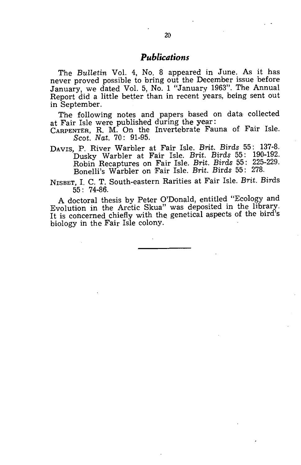## *Publications*

The *Bulletin* Vol. 4, No. 8 appeared in June. As it has never proved possible to bring out the December issue before January, we dated Vol. 5, No. 1 "January 1963". The Annual Report did a little better than in recent years, being sent out in September.

The following notes and papers based on data: collected at Fair Isle were published during the year:

CARPENTER, R. M. On the Invertebrate Fauna of Fair Isle. *Scot. Nat.* 70: 91-95.

DAvrs, P. River Warbler at Fair Isle. *Brit. Birds* 55: 137-8. Dusky Warbler a:t Fair Isle. *Brit. Birds* 55: 190-192. Robin Recaptures on Fair Isle. *Brit. Birds* 55: 225-229. Bonelli's Warbler on Fair Isle. *Brit. Birds* 55: 278.

NrsBET, 1. C. T. South-eastern Rarities at Fair Isle. *Brit.* Birds 55: 74-86.

A doctoral thesis by Peter O'Donald, entitled "Ecology and Evolution in the Arctic Skua" was deposited in the library. It is concerned chiefly with the genetical aspects of the bird's biology in the Fair Isle colony.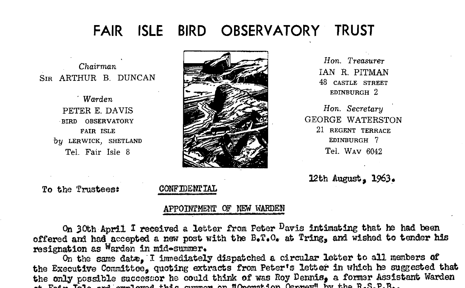# FAIR ISLE BIRD OBSERVATORY TRUST

Chairman SIB ARTHUR B. DUNCAN

> Warden PETER E. DAVIS BIRD OBSERVATORY FAIR ISLE by LERWICK, SHETLAND Tel. Fair Isle 8



Hon. Treasurer IAN R. PITMAN 48 CASTLE STREET EDINBURGH<sub>2</sub>

Hon. Secretary **GEORGE WATERSTON** 21 REGENT TERRACE EDINBURGH 7 Tel. WAV 6042

12th August, 1963.

To the Trustees:

## CONFIDENTIAL

## APPOINTMENT OF NEW WARDEN

On 30th April I received a letter from Peter Davis intimating that he had been offered and had accepted a new post with the B.T.C. at Tring, and wished to tender his resignation as Warden in mid-summer.

On the same date, I immediately dispatched a circular letter to all members of the Executive Committee, quoting extracts from Peter's letter in which he suggested that the only possible successor he could think of was Roy Dennis, a former Assistant Warden  $\pi_{\rm{max}}$ ,  $\pi_{\rm{eff}}$ , and analyzed then compare an HO-matches Compare Over the R.S.B.R.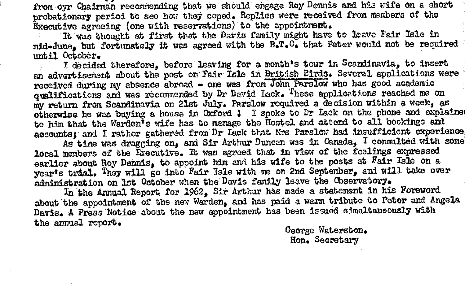from oyr Chairman recommending that we should engage Roy Dennis and his wife on a short probationary period to see how they coped. Replies were received from members of the Executive agreeing (one with reservations) to the appointment.

It was thought at first that the Davis family might have to leave Fair Isle in mid-June, but fortunately it was agreed with the B.T.O. that Peter would not be required until October.

I decided therefore, before leaving for a month's tour in Scandinavia. to insert an advertisement about the post on Fair Isle in British Birds. Several applications were received during my absence abroad - one was from John Parslow who has good academic ounlifications and was recommended by Dr David Lack. These anolications reached me on my return from Scandinavia on 21st July. Parslow required a decision within a week. as otherwise he was buying a house in Oxford 1 I spoke to Dr Lack on the phone and explained to him that the Warden's wife has to manage the Hostel and attend to all bookings and accounts; and I rather gathered from Dr Lack that Mrs Parslow had insufficient experience

As time was dragging on, and Sir Arthur Duncan was in Canada. I consulted with some local members of the Executive. It was agreed that in view of the feelings expressed earlier about Roy Dennis. to appoint him and his wife to the posts at Fair Isle on a year's trial. They will go into Fair Isle with me on 2nd September. and will take over administration on 1st October when the Davis family leave the Chservatory.

In the Annual Report for 1962, Sir Arthur has made a statement in his Foreword about the appointment of the new Warden, and has paid a warm tribute to Peter and Angela Davis. A Press Notice about the new appointment has been issued simultaneously with the annual report.

George Waterston. Hon. Secretary